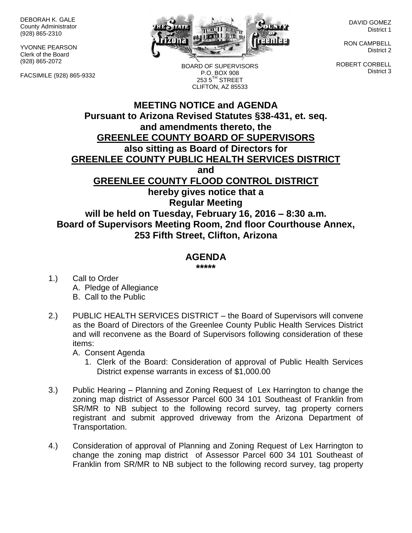DEBORAH K. GALE County Administrator (928) 865-2310

YVONNE PEARSON Clerk of the Board (928) 865-2072

FACSIMILE (928) 865-9332



BOARD OF SUPERVISORS P.O. BOX 908  $2535^{\text{TH}}$  STREET CLIFTON, AZ 85533

DAVID GOMEZ District 1

RON CAMPBELL District 2

ROBERT CORBELL District 3

## **MEETING NOTICE and AGENDA Pursuant to Arizona Revised Statutes §38-431, et. seq. and amendments thereto, the GREENLEE COUNTY BOARD OF SUPERVISORS also sitting as Board of Directors for GREENLEE COUNTY PUBLIC HEALTH SERVICES DISTRICT and GREENLEE COUNTY FLOOD CONTROL DISTRICT hereby gives notice that a Regular Meeting will be held on Tuesday, February 16, 2016 – 8:30 a.m. Board of Supervisors Meeting Room, 2nd floor Courthouse Annex, 253 Fifth Street, Clifton, Arizona**

## **AGENDA**

**\*\*\*\*\***

- 1.) Call to Order A. Pledge of Allegiance B. Call to the Public
- 2.) PUBLIC HEALTH SERVICES DISTRICT the Board of Supervisors will convene as the Board of Directors of the Greenlee County Public Health Services District and will reconvene as the Board of Supervisors following consideration of these items:

A. Consent Agenda

- 1. Clerk of the Board: Consideration of approval of Public Health Services District expense warrants in excess of \$1,000.00
- 3.) Public Hearing Planning and Zoning Request of Lex Harrington to change the zoning map district of Assessor Parcel 600 34 101 Southeast of Franklin from SR/MR to NB subject to the following record survey, tag property corners registrant and submit approved driveway from the Arizona Department of Transportation.
- 4.) Consideration of approval of Planning and Zoning Request of Lex Harrington to change the zoning map district of Assessor Parcel 600 34 101 Southeast of Franklin from SR/MR to NB subject to the following record survey, tag property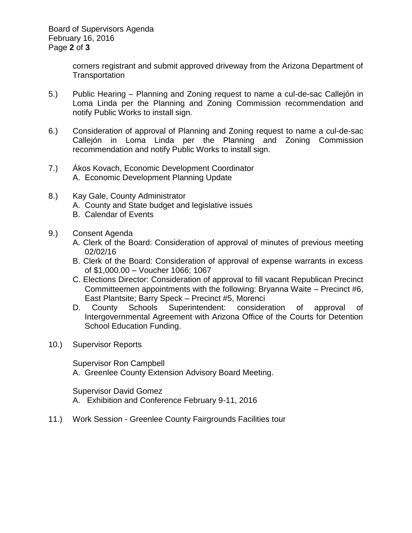Board of Supervisors Agenda February 16, 2016 Page **2** of **3**

> corners registrant and submit approved driveway from the Arizona Department of Transportation

- 5.) Public Hearing Planning and Zoning request to name a cul-de-sac Callejón in Loma Linda per the Planning and Zoning Commission recommendation and notify Public Works to install sign.
- 6.) Consideration of approval of Planning and Zoning request to name a cul-de-sac Callejón in Loma Linda per the Planning and Zoning Commission recommendation and notify Public Works to install sign.
- 7.) Ákos Kovach, Economic Development Coordinator A. Economic Development Planning Update
- 8.) Kay Gale, County Administrator A. County and State budget and legislative issues B. Calendar of Events
- 9.) Consent Agenda
	- A. Clerk of the Board: Consideration of approval of minutes of previous meeting 02/02/16
	- B. Clerk of the Board: Consideration of approval of expense warrants in excess of \$1,000.00 – Voucher 1066; 1067
	- C. Elections Director: Consideration of approval to fill vacant Republican Precinct Committeemen appointments with the following: Bryanna Waite – Precinct #6, East Plantsite; Barry Speck – Precinct #5, Morenci
	- D. County Schools Superintendent: consideration of approval of Intergovernmental Agreement with Arizona Office of the Courts for Detention School Education Funding.
- 10.) Supervisor Reports

Supervisor Ron Campbell A. Greenlee County Extension Advisory Board Meeting.

Supervisor David Gomez A. Exhibition and Conference February 9-11, 2016

11.) Work Session - Greenlee County Fairgrounds Facilities tour